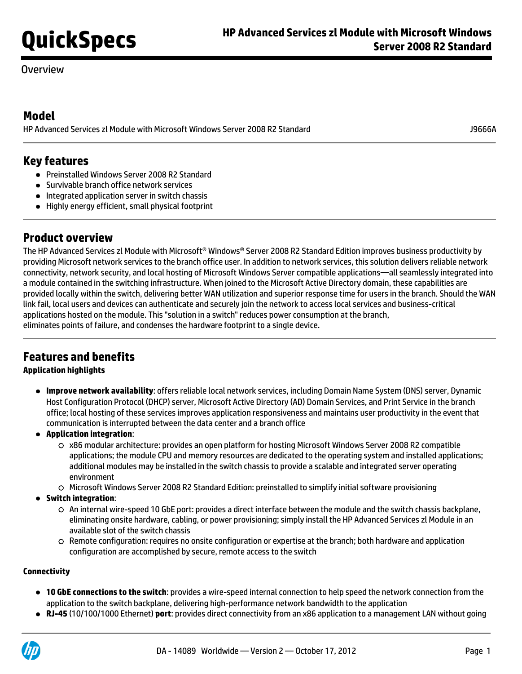## Overview

## **Model**

HP Advanced Services zl Module with Microsoft Windows Server 2008 R2 Standard J9666A

## **Key features**

- Preinstalled Windows Server 2008 R2 Standard
- **Survivable branch office network services**
- Integrated application server in switch chassis
- Highly energy efficient, small physical footprint

## **Product overview**

The HP Advanced Services zl Module with Microsoft® Windows® Server 2008 R2 Standard Edition improves business productivity by providing Microsoft network services to the branch office user. In addition to network services, this solution delivers reliable network connectivity, network security, and local hosting of Microsoft Windows Server compatible applications—all seamlessly integrated into a module contained in the switching infrastructure. When joined to the Microsoft Active Directory domain, these capabilities are provided locally within the switch, delivering better WAN utilization and superior response time for users in the branch. Should the WAN link fail, local users and devices can authenticate and securely join the network to access local services and business-critical applications hosted on the module. This "solution in a switch" reduces power consumption at the branch, eliminates points of failure, and condenses the hardware footprint to a single device.

# **Features and benefits**

### **Application highlights**

- **Improve network availability**: offers reliable local network services, including Domain Name System (DNS) server, Dynamic Host Configuration Protocol (DHCP) server, Microsoft Active Directory (AD) Domain Services, and Print Service in the branch office; local hosting of these services improves application responsiveness and maintains user productivity in the event that communication is interrupted between the data center and a branch office
- **Application integration**:
	- x86 modular architecture: provides an open platform for hosting Microsoft Windows Server 2008 R2 compatible applications; the module CPU and memory resources are dedicated to the operating system and installed applications; additional modules may be installed in the switch chassis to provide a scalable and integrated server operating environment
	- $\circ$  Microsoft Windows Server 2008 R2 Standard Edition: preinstalled to simplify initial software provisioning
- **Switch integration**:
	- An internal wire-speed 10 GbE port: provides a direct interface between the module and the switch chassis backplane, eliminating onsite hardware, cabling, or power provisioning; simply install the HP Advanced Services zl Module in an available slot of the switch chassis
	- $\circ$  Remote configuration: requires no onsite configuration or expertise at the branch; both hardware and application configuration are accomplished by secure, remote access to the switch

#### **Connectivity**

- **10 GbE connections to the switch**: provides a wire-speed internal connection to help speed the network connection from the application to the switch backplane, delivering high-performance network bandwidth to the application
- **RJ-45** (10/100/1000 Ethernet) **port**: provides direct connectivity from an x86 application to a management LAN without going

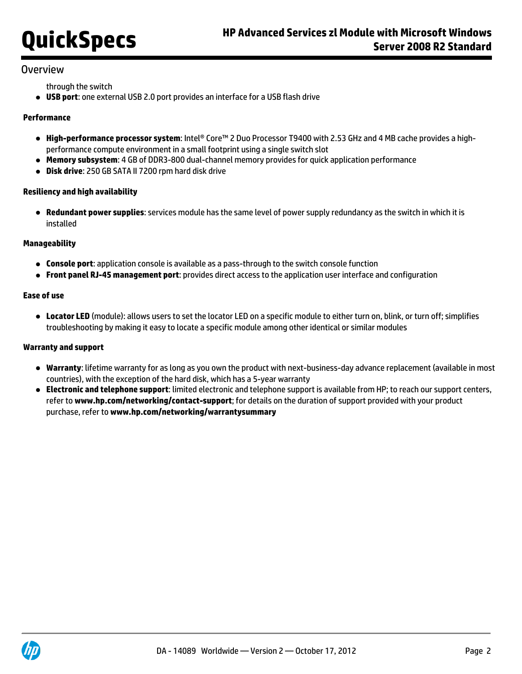### **Overview**

through the switch

**USB port**: one external USB 2.0 port provides an interface for a USB flash drive

#### **Performance**

- **High-performance processor system**: Intel® Core™ 2 Duo Processor T9400 with 2.53 GHz and 4 MB cache provides a highperformance compute environment in a small footprint using a single switch slot
- **Memory subsystem**: 4 GB of DDR3-800 dual-channel memory provides for quick application performance
- **Disk drive**: 250 GB SATA II 7200 rpm hard disk drive

#### **Resiliency and high availability**

**Redundant power supplies**: services module has the same level of power supply redundancy as the switch in which it is installed

#### **Manageability**

- **Console port**: application console is available as a pass-through to the switch console function
- **Front panel RJ-45 management port**: provides direct access to the application user interface and configuration

#### **Ease of use**

**Locator LED** (module): allows users to set the locator LED on a specific module to either turn on, blink, or turn off; simplifies troubleshooting by making it easy to locate a specific module among other identical or similar modules

#### **Warranty and support**

- **Warranty**: lifetime warranty for as long as you own the product with next-business-day advance replacement (available in most countries), with the exception of the hard disk, which has a 5-year warranty
- **Electronic and telephone support**: limited electronic and telephone support is available from HP; to reach our support centers, refer to **[www.hp.com/networking/contact-support](http://www.hp.com/networking/contact-support)**; for details on the duration of support provided with your product purchase, refer to **[www.hp.com/networking/warrantysummary](http://www.hp.com/networking/warrantysummary)**

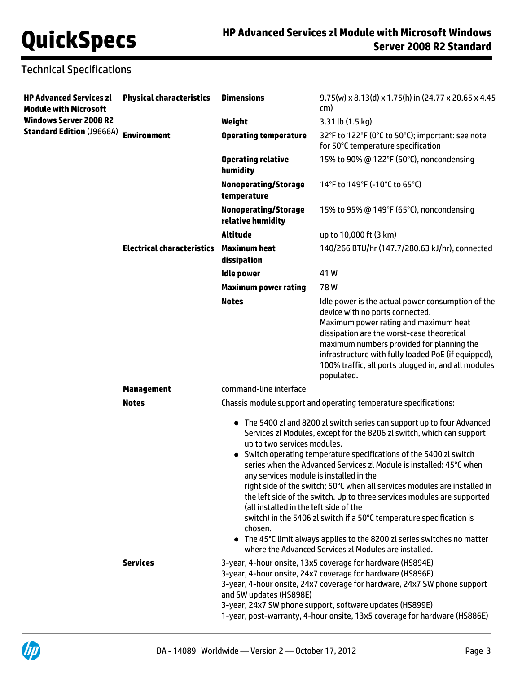# Technical Specifications

| <b>HP Advanced Services zl</b><br><b>Module with Microsoft</b> | <b>Physical characteristics</b>   | <b>Dimensions</b>                                                                                                                                                                                                                                                                                                                                                                                                                                                                                                                                                                                                                                                                                                                                                                                                                                                | $9.75(w) \times 8.13(d) \times 1.75(h)$ in (24.77 x 20.65 x 4.45)<br>cm)                                                                                                                                                                                                                                                                             |
|----------------------------------------------------------------|-----------------------------------|------------------------------------------------------------------------------------------------------------------------------------------------------------------------------------------------------------------------------------------------------------------------------------------------------------------------------------------------------------------------------------------------------------------------------------------------------------------------------------------------------------------------------------------------------------------------------------------------------------------------------------------------------------------------------------------------------------------------------------------------------------------------------------------------------------------------------------------------------------------|------------------------------------------------------------------------------------------------------------------------------------------------------------------------------------------------------------------------------------------------------------------------------------------------------------------------------------------------------|
| <b>Windows Server 2008 R2</b>                                  |                                   | Weight                                                                                                                                                                                                                                                                                                                                                                                                                                                                                                                                                                                                                                                                                                                                                                                                                                                           | 3.31 lb (1.5 kg)                                                                                                                                                                                                                                                                                                                                     |
| Standard Edition (J9666A)    Environment                       |                                   | <b>Operating temperature</b>                                                                                                                                                                                                                                                                                                                                                                                                                                                                                                                                                                                                                                                                                                                                                                                                                                     | 32°F to 122°F (0°C to 50°C); important: see note<br>for 50°C temperature specification                                                                                                                                                                                                                                                               |
|                                                                |                                   | <b>Operating relative</b><br>humidity                                                                                                                                                                                                                                                                                                                                                                                                                                                                                                                                                                                                                                                                                                                                                                                                                            | 15% to 90% @ 122°F (50°C), noncondensing                                                                                                                                                                                                                                                                                                             |
|                                                                |                                   | <b>Nonoperating/Storage</b><br>temperature                                                                                                                                                                                                                                                                                                                                                                                                                                                                                                                                                                                                                                                                                                                                                                                                                       | 14°F to 149°F (-10°C to 65°C)                                                                                                                                                                                                                                                                                                                        |
|                                                                |                                   | <b>Nonoperating/Storage</b><br>relative humidity                                                                                                                                                                                                                                                                                                                                                                                                                                                                                                                                                                                                                                                                                                                                                                                                                 | 15% to 95% @ 149°F (65°C), noncondensing                                                                                                                                                                                                                                                                                                             |
|                                                                |                                   | <b>Altitude</b>                                                                                                                                                                                                                                                                                                                                                                                                                                                                                                                                                                                                                                                                                                                                                                                                                                                  | up to 10,000 ft (3 km)                                                                                                                                                                                                                                                                                                                               |
|                                                                | <b>Electrical characteristics</b> | Maximum heat<br>dissipation                                                                                                                                                                                                                                                                                                                                                                                                                                                                                                                                                                                                                                                                                                                                                                                                                                      | 140/266 BTU/hr (147.7/280.63 kJ/hr), connected                                                                                                                                                                                                                                                                                                       |
|                                                                |                                   | <b>Idle power</b>                                                                                                                                                                                                                                                                                                                                                                                                                                                                                                                                                                                                                                                                                                                                                                                                                                                | 41W                                                                                                                                                                                                                                                                                                                                                  |
|                                                                |                                   | <b>Maximum power rating</b>                                                                                                                                                                                                                                                                                                                                                                                                                                                                                                                                                                                                                                                                                                                                                                                                                                      | 78W                                                                                                                                                                                                                                                                                                                                                  |
|                                                                |                                   | <b>Notes</b>                                                                                                                                                                                                                                                                                                                                                                                                                                                                                                                                                                                                                                                                                                                                                                                                                                                     | Idle power is the actual power consumption of the<br>device with no ports connected.<br>Maximum power rating and maximum heat<br>dissipation are the worst-case theoretical<br>maximum numbers provided for planning the<br>infrastructure with fully loaded PoE (if equipped),<br>100% traffic, all ports plugged in, and all modules<br>populated. |
|                                                                | <b>Management</b>                 | command-line interface                                                                                                                                                                                                                                                                                                                                                                                                                                                                                                                                                                                                                                                                                                                                                                                                                                           |                                                                                                                                                                                                                                                                                                                                                      |
|                                                                | <b>Notes</b>                      |                                                                                                                                                                                                                                                                                                                                                                                                                                                                                                                                                                                                                                                                                                                                                                                                                                                                  | Chassis module support and operating temperature specifications:                                                                                                                                                                                                                                                                                     |
|                                                                | <b>Services</b>                   | • The 5400 zl and 8200 zl switch series can support up to four Advanced<br>Services zl Modules, except for the 8206 zl switch, which can support<br>up to two services modules.<br>• Switch operating temperature specifications of the 5400 zl switch<br>series when the Advanced Services zl Module is installed: 45°C when<br>any services module is installed in the<br>right side of the switch; 50°C when all services modules are installed in<br>the left side of the switch. Up to three services modules are supported<br>(all installed in the left side of the<br>switch) in the 5406 zl switch if a 50°C temperature specification is<br>chosen.<br>• The 45°C limit always applies to the 8200 zl series switches no matter<br>where the Advanced Services zl Modules are installed.<br>3-year, 4-hour onsite, 13x5 coverage for hardware (HS894E) |                                                                                                                                                                                                                                                                                                                                                      |
|                                                                |                                   | 3-year, 4-hour onsite, 24x7 coverage for hardware (HS896E)<br>3-year, 4-hour onsite, 24x7 coverage for hardware, 24x7 SW phone support<br>and SW updates (HS898E)<br>3-year, 24x7 SW phone support, software updates (HS899E)<br>1-year, post-warranty, 4-hour onsite, 13x5 coverage for hardware (HS886E)                                                                                                                                                                                                                                                                                                                                                                                                                                                                                                                                                       |                                                                                                                                                                                                                                                                                                                                                      |